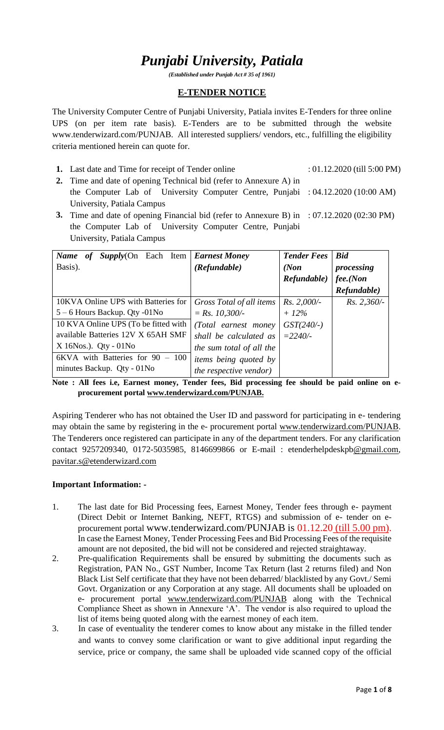# *Punjabi University, Patiala*

*(Established under Punjab Act # 35 of 1961)*

### **E-TENDER NOTICE**

The University Computer Centre of Punjabi University, Patiala invites E-Tenders for three online UPS (on per item rate basis). E-Tenders are to be submitted through the website www.tenderwizard.com/PUNJAB. All interested suppliers/ vendors, etc., fulfilling the eligibility criteria mentioned herein can quote for.

- **1.** Last date and Time for receipt of Tender online : 01.12.2020 (till 5:00 PM)
- **2.** Time and date of opening Technical bid (refer to Annexure A) in the Computer Lab of University Computer Centre, Punjabi : 04.12.2020 (10:00 AM) University, Patiala Campus
- **3.** Time and date of opening Financial bid (refer to Annexure B) in : 07.12.2020 (02:30 PM) the Computer Lab of University Computer Centre, Punjabi University, Patiala Campus

| $Supply(On$ Each Item<br>Name<br>of  | <b>Earnest Money</b>          | <b>Tender Fees</b> | <b>Bid</b>    |
|--------------------------------------|-------------------------------|--------------------|---------------|
| Basis).                              | (Refundable)                  | (Non)              | processing    |
|                                      |                               | Refundable)        | fee. (Non     |
|                                      |                               |                    | Refundable)   |
| 10KVA Online UPS with Batteries for  | Gross Total of all items      | $Rs. 2,000/-$      | $Rs. 2,360/-$ |
| $5 - 6$ Hours Backup. Qty -01No      | $= Rs. 10,300/-$              | $+12\%$            |               |
| 10 KVA Online UPS (To be fitted with | (Total earnest money)         | $GST(240/-)$       |               |
| available Batteries 12V X 65AH SMF   | shall be calculated as        | $= 2240/$          |               |
| $X$ 16Nos.). Qty - 01No              | the sum total of all the      |                    |               |
| $6KVA$ with Batteries for $90 - 100$ | <i>items being quoted by</i>  |                    |               |
| minutes Backup. Qty - 01No           | <i>the respective vendor)</i> |                    |               |

**Note : All fees i.e, Earnest money, Tender fees, Bid processing fee should be paid online on eprocurement portal [www.tenderwizard.com/PUNJAB.](http://www.tenderwizard.com/PUNJAB)**

Aspiring Tenderer who has not obtained the User ID and password for participating in e- tendering may obtain the same by registering in the e- procurement portal [www.tenderwizard.com/PUNJAB.](http://www.tenderwizard.com/PUNJAB) The Tenderers once registered can participate in any of the department tenders. For any clarification contact 9257209340, 0172-5035985, 8146699866 or E-mail : etenderhelpdeskp[b@gmail.com,](mailto:@gmail.com) [pavitar.s@etenderwizard.com](mailto:pavitar.s@etenderwizard.com)

#### **Important Information: -**

- 1. The last date for Bid Processing fees, Earnest Money, Tender fees through e- payment (Direct Debit or Internet Banking, NEFT, RTGS) and submission of e- tender on eprocurement portal www.tenderwizard.com/PUNJAB is 01.12.20 (till 5.00 pm). In case the Earnest Money, Tender Processing Fees and Bid Processing Fees of the requisite amount are not deposited, the bid will not be considered and rejected straightaway.
- 2. Pre-qualification Requirements shall be ensured by submitting the documents such as Registration, PAN No., GST Number, Income Tax Return (last 2 returns filed) and Non Black List Self certificate that they have not been debarred/ blacklisted by any Govt./ Semi Govt. Organization or any Corporation at any stage. All documents shall be uploaded on e- procurement portal [www.tenderwizard.com/PUNJAB](http://www.tenderwizard.com/PUNJAB) along with the Technical Compliance Sheet as shown in Annexure 'A'. The vendor is also required to upload the list of items being quoted along with the earnest money of each item.
- 3. In case of eventuality the tenderer comes to know about any mistake in the filled tender and wants to convey some clarification or want to give additional input regarding the service, price or company, the same shall be uploaded vide scanned copy of the official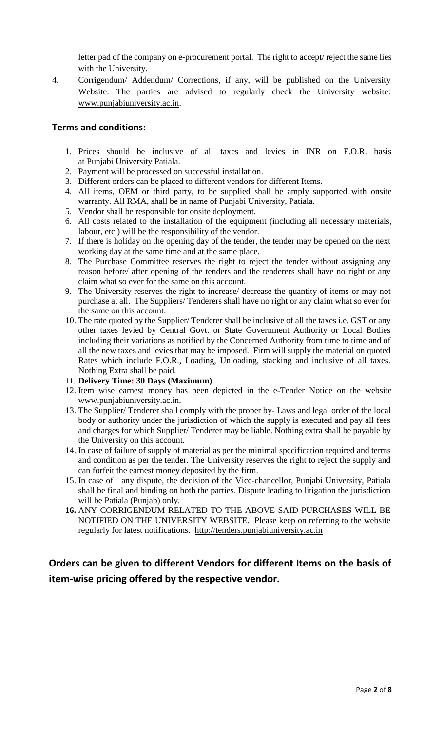letter pad of the company on e-procurement portal. The right to accept/ reject the same lies with the University.

4. Corrigendum/ Addendum/ Corrections, if any, will be published on the University Website. The parties are advised to regularly check the University website: [www.punjabiuniversity.ac.in.](http://www.punjabiuniversity.ac.in/)

### **Terms and conditions:**

- 1. Prices should be inclusive of all taxes and levies in INR on F.O.R. basis at Punjabi University Patiala.
- 2. Payment will be processed on successful installation.
- 3. Different orders can be placed to different vendors for different Items.
- 4. All items, OEM or third party, to be supplied shall be amply supported with onsite warranty. All RMA, shall be in name of Punjabi University, Patiala.
- 5. Vendor shall be responsible for onsite deployment.
- 6. All costs related to the installation of the equipment (including all necessary materials, labour, etc.) will be the responsibility of the vendor.
- 7. If there is holiday on the opening day of the tender, the tender may be opened on the next working day at the same time and at the same place.
- 8. The Purchase Committee reserves the right to reject the tender without assigning any reason before/ after opening of the tenders and the tenderers shall have no right or any claim what so ever for the same on this account.
- 9. The University reserves the right to increase/ decrease the quantity of items or may not purchase at all. The Suppliers/ Tenderers shall have no right or any claim what so ever for the same on this account.
- 10. The rate quoted by the Supplier/ Tenderer shall be inclusive of all the taxes i.e. GST or any other taxes levied by Central Govt. or State Government Authority or Local Bodies including their variations as notified by the Concerned Authority from time to time and of all the new taxes and levies that may be imposed. Firm will supply the material on quoted Rates which include F.O.R., Loading, Unloading, stacking and inclusive of all taxes. Nothing Extra shall be paid.
- 11. **Delivery Time: 30 Days (Maximum)**
- 12. Item wise earnest money has been depicted in the e-Tender Notice on the website www.punjabiuniversity.ac.in.
- 13. The Supplier/ Tenderer shall comply with the proper by- Laws and legal order of the local body or authority under the jurisdiction of which the supply is executed and pay all fees and charges for which Supplier/ Tenderer may be liable. Nothing extra shall be payable by the University on this account.
- 14. In case of failure of supply of material as per the minimal specification required and terms and condition as per the tender. The University reserves the right to reject the supply and can forfeit the earnest money deposited by the firm.
- 15. In case of any dispute, the decision of the Vice-chancellor, Punjabi University, Patiala shall be final and binding on both the parties. Dispute leading to litigation the jurisdiction will be Patiala (Punjab) only.
- **16.** ANY CORRIGENDUM RELATED TO THE ABOVE SAID PURCHASES WILL BE NOTIFIED ON THE UNIVERSITY WEBSITE. Please keep on referring to the website regularly for latest notifications. [http://tenders.punjabiuniversity.ac.in](http://tenders.punjabiuniversity.ac.in/)

### **Orders can be given to different Vendors for different Items on the basis of item-wise pricing offered by the respective vendor.**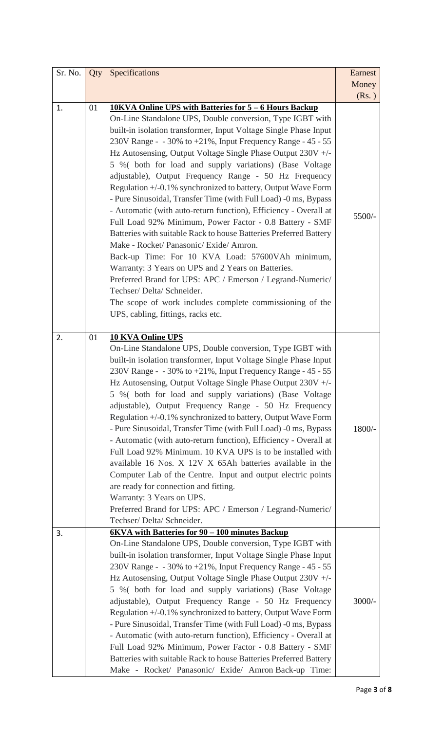| Sr. No. | Qty | Specifications                                                                                                                                                                                                                                                                                                                                                                                                                                                                                                                                                                                                                                                                                                                                                                                                                                                                                                                                                                                                                                                                                                                           | Earnest        |
|---------|-----|------------------------------------------------------------------------------------------------------------------------------------------------------------------------------------------------------------------------------------------------------------------------------------------------------------------------------------------------------------------------------------------------------------------------------------------------------------------------------------------------------------------------------------------------------------------------------------------------------------------------------------------------------------------------------------------------------------------------------------------------------------------------------------------------------------------------------------------------------------------------------------------------------------------------------------------------------------------------------------------------------------------------------------------------------------------------------------------------------------------------------------------|----------------|
|         |     |                                                                                                                                                                                                                                                                                                                                                                                                                                                                                                                                                                                                                                                                                                                                                                                                                                                                                                                                                                                                                                                                                                                                          | Money<br>(Rs.) |
| 1.      | 01  | 10KVA Online UPS with Batteries for 5 – 6 Hours Backup<br>On-Line Standalone UPS, Double conversion, Type IGBT with<br>built-in isolation transformer, Input Voltage Single Phase Input<br>230V Range - $-30\%$ to $+21\%$ , Input Frequency Range - 45 - 55<br>Hz Autosensing, Output Voltage Single Phase Output 230V +/-<br>5 % (both for load and supply variations) (Base Voltage<br>adjustable), Output Frequency Range - 50 Hz Frequency<br>Regulation +/-0.1% synchronized to battery, Output Wave Form<br>- Pure Sinusoidal, Transfer Time (with Full Load) -0 ms, Bypass<br>- Automatic (with auto-return function), Efficiency - Overall at<br>Full Load 92% Minimum, Power Factor - 0.8 Battery - SMF<br>Batteries with suitable Rack to house Batteries Preferred Battery<br>Make - Rocket/ Panasonic/ Exide/ Amron.<br>Back-up Time: For 10 KVA Load: 57600VAh minimum,<br>Warranty: 3 Years on UPS and 2 Years on Batteries.<br>Preferred Brand for UPS: APC / Emerson / Legrand-Numeric/<br>Techser/ Delta/ Schneider.<br>The scope of work includes complete commissioning of the<br>UPS, cabling, fittings, racks etc. | 5500/-         |
| 2.      | 01  | <b>10 KVA Online UPS</b><br>On-Line Standalone UPS, Double conversion, Type IGBT with<br>built-in isolation transformer, Input Voltage Single Phase Input<br>230V Range - $-30\%$ to $+21\%$ , Input Frequency Range - 45 - 55<br>Hz Autosensing, Output Voltage Single Phase Output 230V +/-<br>5 % (both for load and supply variations) (Base Voltage<br>adjustable), Output Frequency Range - 50 Hz Frequency<br>Regulation +/-0.1% synchronized to battery, Output Wave Form<br>- Pure Sinusoidal, Transfer Time (with Full Load) -0 ms, Bypass<br>- Automatic (with auto-return function), Efficiency - Overall at<br>Full Load 92% Minimum. 10 KVA UPS is to be installed with<br>available 16 Nos. X 12V X 65Ah batteries available in the<br>Computer Lab of the Centre. Input and output electric points<br>are ready for connection and fitting.<br>Warranty: 3 Years on UPS.<br>Preferred Brand for UPS: APC / Emerson / Legrand-Numeric/<br>Techser/ Delta/ Schneider.                                                                                                                                                      | 1800/-         |
| 3.      |     | 6KVA with Batteries for 90 - 100 minutes Backup<br>On-Line Standalone UPS, Double conversion, Type IGBT with<br>built-in isolation transformer, Input Voltage Single Phase Input<br>230V Range - - 30% to +21%, Input Frequency Range - 45 - 55<br>Hz Autosensing, Output Voltage Single Phase Output 230V +/-<br>5 % (both for load and supply variations) (Base Voltage<br>adjustable), Output Frequency Range - 50 Hz Frequency<br>Regulation +/-0.1% synchronized to battery, Output Wave Form<br>- Pure Sinusoidal, Transfer Time (with Full Load) -0 ms, Bypass<br>- Automatic (with auto-return function), Efficiency - Overall at<br>Full Load 92% Minimum, Power Factor - 0.8 Battery - SMF<br>Batteries with suitable Rack to house Batteries Preferred Battery<br>Make - Rocket/ Panasonic/ Exide/ Amron Back-up Time:                                                                                                                                                                                                                                                                                                        | 3000/-         |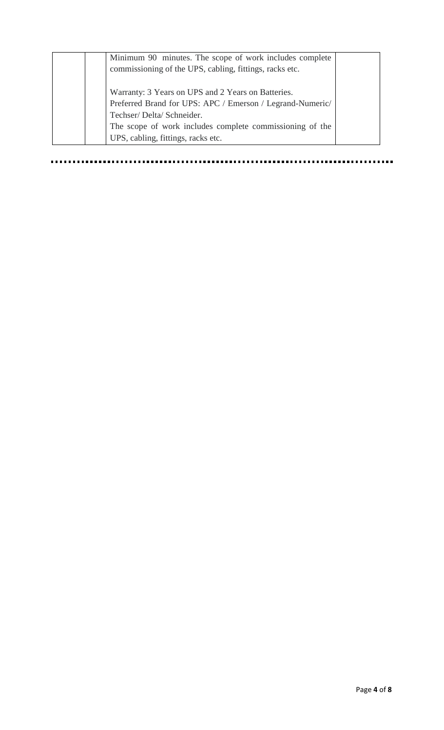| Minimum 90 minutes. The scope of work includes complete<br>commissioning of the UPS, cabling, fittings, racks etc.                                                                                                                            |  |
|-----------------------------------------------------------------------------------------------------------------------------------------------------------------------------------------------------------------------------------------------|--|
| Warranty: 3 Years on UPS and 2 Years on Batteries.<br>Preferred Brand for UPS: APC / Emerson / Legrand-Numeric/<br>Techser/Delta/Schneider.<br>The scope of work includes complete commissioning of the<br>UPS, cabling, fittings, racks etc. |  |

................. ..............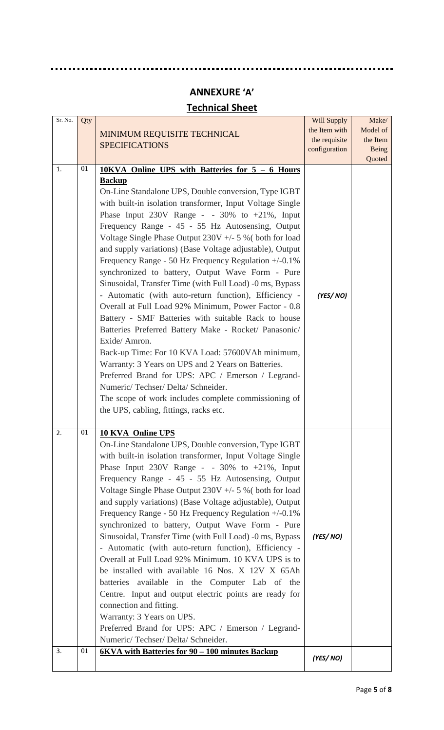# **ANNEXURE 'A'**

. . .

# **Technical Sheet**

| Sr. No. | Qty |                                                                                                                                                                                                                                                                                                                                                                                                                                                                                                                                                                                                                                                                                                                                                                                                                                                                                                                                                                                                                                                                                                                                                              | <b>Will Supply</b> | Make/                  |
|---------|-----|--------------------------------------------------------------------------------------------------------------------------------------------------------------------------------------------------------------------------------------------------------------------------------------------------------------------------------------------------------------------------------------------------------------------------------------------------------------------------------------------------------------------------------------------------------------------------------------------------------------------------------------------------------------------------------------------------------------------------------------------------------------------------------------------------------------------------------------------------------------------------------------------------------------------------------------------------------------------------------------------------------------------------------------------------------------------------------------------------------------------------------------------------------------|--------------------|------------------------|
|         |     | MINIMUM REQUISITE TECHNICAL                                                                                                                                                                                                                                                                                                                                                                                                                                                                                                                                                                                                                                                                                                                                                                                                                                                                                                                                                                                                                                                                                                                                  | the Item with      | Model of               |
|         |     | <b>SPECIFICATIONS</b>                                                                                                                                                                                                                                                                                                                                                                                                                                                                                                                                                                                                                                                                                                                                                                                                                                                                                                                                                                                                                                                                                                                                        | the requisite      | the Item               |
|         |     |                                                                                                                                                                                                                                                                                                                                                                                                                                                                                                                                                                                                                                                                                                                                                                                                                                                                                                                                                                                                                                                                                                                                                              | configuration      | <b>Being</b><br>Quoted |
| 1.      | 01  | 10KVA Online UPS with Batteries for 5 - 6 Hours<br><b>Backup</b><br>On-Line Standalone UPS, Double conversion, Type IGBT<br>with built-in isolation transformer, Input Voltage Single<br>Phase Input $230V$ Range - - $30\%$ to $+21\%$ , Input<br>Frequency Range - 45 - 55 Hz Autosensing, Output<br>Voltage Single Phase Output $230V + -5$ % (both for load<br>and supply variations) (Base Voltage adjustable), Output<br>Frequency Range - 50 Hz Frequency Regulation $+/-0.1\%$<br>synchronized to battery, Output Wave Form - Pure<br>Sinusoidal, Transfer Time (with Full Load) -0 ms, Bypass<br>- Automatic (with auto-return function), Efficiency -<br>Overall at Full Load 92% Minimum, Power Factor - 0.8<br>Battery - SMF Batteries with suitable Rack to house<br>Batteries Preferred Battery Make - Rocket/ Panasonic/<br>Exide/Amron.<br>Back-up Time: For 10 KVA Load: 57600VAh minimum,<br>Warranty: 3 Years on UPS and 2 Years on Batteries.<br>Preferred Brand for UPS: APC / Emerson / Legrand-<br>Numeric/Techser/Delta/Schneider.<br>The scope of work includes complete commissioning of<br>the UPS, cabling, fittings, racks etc. | (YES/NO)           |                        |
| 2.      | 01  | <b>10 KVA Online UPS</b><br>On-Line Standalone UPS, Double conversion, Type IGBT<br>with built-in isolation transformer, Input Voltage Single<br>Phase Input $230V$ Range - - $30\%$ to $+21\%$ , Input<br>Frequency Range - 45 - 55 Hz Autosensing, Output<br>Voltage Single Phase Output $230V + -5$ % (both for load<br>and supply variations) (Base Voltage adjustable), Output<br>Frequency Range - 50 Hz Frequency Regulation $+/-0.1\%$<br>synchronized to battery, Output Wave Form - Pure<br>Sinusoidal, Transfer Time (with Full Load) -0 ms, Bypass<br>- Automatic (with auto-return function), Efficiency -<br>Overall at Full Load 92% Minimum. 10 KVA UPS is to<br>be installed with available 16 Nos. X 12V X 65Ah<br>batteries available in the Computer Lab of the<br>Centre. Input and output electric points are ready for<br>connection and fitting.<br>Warranty: 3 Years on UPS.<br>Preferred Brand for UPS: APC / Emerson / Legrand-<br>Numeric/Techser/Delta/Schneider.                                                                                                                                                               | (YES/NO)           |                        |
| 3.      | 01  | 6KVA with Batteries for 90 - 100 minutes Backup                                                                                                                                                                                                                                                                                                                                                                                                                                                                                                                                                                                                                                                                                                                                                                                                                                                                                                                                                                                                                                                                                                              | (YES/NO)           |                        |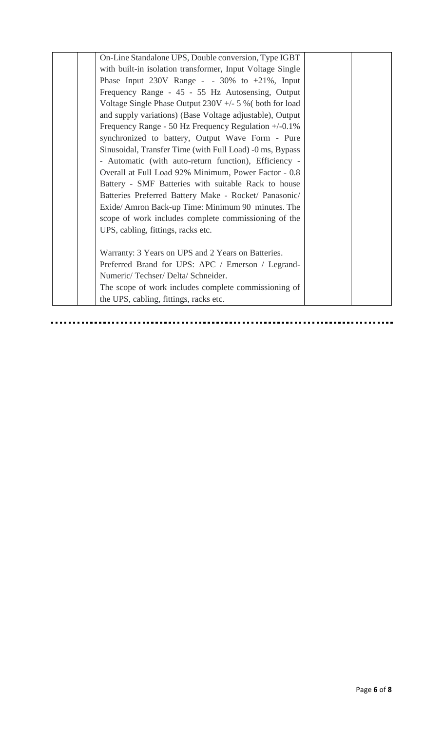| On-Line Standalone UPS, Double conversion, Type IGBT      |  |
|-----------------------------------------------------------|--|
| with built-in isolation transformer, Input Voltage Single |  |
| Phase Input $230V$ Range - - $30\%$ to $+21\%$ , Input    |  |
| Frequency Range - 45 - 55 Hz Autosensing, Output          |  |
| Voltage Single Phase Output $230V + -5$ % (both for load  |  |
| and supply variations) (Base Voltage adjustable), Output  |  |
| Frequency Range - 50 Hz Frequency Regulation $+/-0.1\%$   |  |
| synchronized to battery, Output Wave Form - Pure          |  |
| Sinusoidal, Transfer Time (with Full Load) -0 ms, Bypass  |  |
| - Automatic (with auto-return function), Efficiency -     |  |
| Overall at Full Load 92% Minimum, Power Factor - 0.8      |  |
| Battery - SMF Batteries with suitable Rack to house       |  |
| Batteries Preferred Battery Make - Rocket/ Panasonic/     |  |
| Exide/Amron Back-up Time: Minimum 90 minutes. The         |  |
| scope of work includes complete commissioning of the      |  |
| UPS, cabling, fittings, racks etc.                        |  |
|                                                           |  |
| Warranty: 3 Years on UPS and 2 Years on Batteries.        |  |
| Preferred Brand for UPS: APC / Emerson / Legrand-         |  |
| Numeric/Techser/Delta/Schneider.                          |  |
| The scope of work includes complete commissioning of      |  |
| the UPS, cabling, fittings, racks etc.                    |  |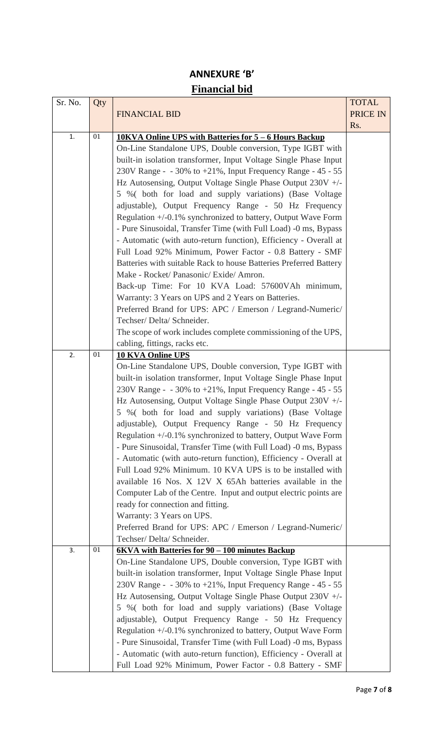## **ANNEXURE 'B' Financial bid**

| Sr. No. | Qty |                                                                                                                               | <b>TOTAL</b> |
|---------|-----|-------------------------------------------------------------------------------------------------------------------------------|--------------|
|         |     | <b>FINANCIAL BID</b>                                                                                                          | PRICE IN     |
|         |     |                                                                                                                               | Rs.          |
| 1.      | 01  | 10KVA Online UPS with Batteries for 5 – 6 Hours Backup                                                                        |              |
|         |     | On-Line Standalone UPS, Double conversion, Type IGBT with                                                                     |              |
|         |     | built-in isolation transformer, Input Voltage Single Phase Input                                                              |              |
|         |     | 230V Range - - 30% to +21%, Input Frequency Range - 45 - 55                                                                   |              |
|         |     | Hz Autosensing, Output Voltage Single Phase Output 230V +/-                                                                   |              |
|         |     | 5 % (both for load and supply variations) (Base Voltage                                                                       |              |
|         |     | adjustable), Output Frequency Range - 50 Hz Frequency                                                                         |              |
|         |     | Regulation +/-0.1% synchronized to battery, Output Wave Form                                                                  |              |
|         |     | - Pure Sinusoidal, Transfer Time (with Full Load) -0 ms, Bypass                                                               |              |
|         |     | - Automatic (with auto-return function), Efficiency - Overall at                                                              |              |
|         |     | Full Load 92% Minimum, Power Factor - 0.8 Battery - SMF                                                                       |              |
|         |     | Batteries with suitable Rack to house Batteries Preferred Battery                                                             |              |
|         |     | Make - Rocket/ Panasonic/ Exide/ Amron.                                                                                       |              |
|         |     | Back-up Time: For 10 KVA Load: 57600VAh minimum,                                                                              |              |
|         |     | Warranty: 3 Years on UPS and 2 Years on Batteries.                                                                            |              |
|         |     | Preferred Brand for UPS: APC / Emerson / Legrand-Numeric/                                                                     |              |
|         |     | Techser/Delta/Schneider.                                                                                                      |              |
|         |     | The scope of work includes complete commissioning of the UPS,                                                                 |              |
|         | 01  | cabling, fittings, racks etc.                                                                                                 |              |
| 2.      |     | <b>10 KVA Online UPS</b>                                                                                                      |              |
|         |     | On-Line Standalone UPS, Double conversion, Type IGBT with<br>built-in isolation transformer, Input Voltage Single Phase Input |              |
|         |     | 230V Range - - 30% to +21%, Input Frequency Range - 45 - 55                                                                   |              |
|         |     | Hz Autosensing, Output Voltage Single Phase Output 230V +/-                                                                   |              |
|         |     | 5 %( both for load and supply variations) (Base Voltage                                                                       |              |
|         |     | adjustable), Output Frequency Range - 50 Hz Frequency                                                                         |              |
|         |     | Regulation +/-0.1% synchronized to battery, Output Wave Form                                                                  |              |
|         |     | - Pure Sinusoidal, Transfer Time (with Full Load) -0 ms, Bypass                                                               |              |
|         |     | - Automatic (with auto-return function), Efficiency - Overall at                                                              |              |
|         |     | Full Load 92% Minimum. 10 KVA UPS is to be installed with                                                                     |              |
|         |     | available 16 Nos. X 12V X 65Ah batteries available in the                                                                     |              |
|         |     | Computer Lab of the Centre. Input and output electric points are                                                              |              |
|         |     | ready for connection and fitting.                                                                                             |              |
|         |     | Warranty: 3 Years on UPS.                                                                                                     |              |
|         |     | Preferred Brand for UPS: APC / Emerson / Legrand-Numeric/                                                                     |              |
|         |     | Techser/ Delta/ Schneider.                                                                                                    |              |
| 3.      | 01  | 6KVA with Batteries for 90 – 100 minutes Backup                                                                               |              |
|         |     | On-Line Standalone UPS, Double conversion, Type IGBT with                                                                     |              |
|         |     | built-in isolation transformer, Input Voltage Single Phase Input                                                              |              |
|         |     | 230V Range - $-30\%$ to $+21\%$ , Input Frequency Range - 45 - 55                                                             |              |
|         |     | Hz Autosensing, Output Voltage Single Phase Output 230V +/-                                                                   |              |
|         |     | 5 % (both for load and supply variations) (Base Voltage                                                                       |              |
|         |     | adjustable), Output Frequency Range - 50 Hz Frequency                                                                         |              |
|         |     | Regulation +/-0.1% synchronized to battery, Output Wave Form                                                                  |              |
|         |     | - Pure Sinusoidal, Transfer Time (with Full Load) -0 ms, Bypass                                                               |              |
|         |     | - Automatic (with auto-return function), Efficiency - Overall at                                                              |              |
|         |     | Full Load 92% Minimum, Power Factor - 0.8 Battery - SMF                                                                       |              |